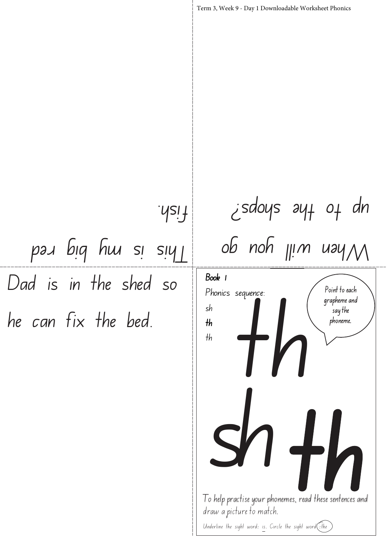Dad is in the shed so he can fix the bed. Point to each grapheme and say the phoneme. Term 3, Week 9 - Day 1 Downloadable Worksheet Phonics Book 1 Phonics sequence: sh th th th When will you go  $i$ sdoys ay $+$  0 $+$  dn This is my big red .ysif

I o help practise your phonemes, read these sentences and

Underline the sight word: is. Circle the sight word  $\widehat{f}$ : the

o help practise your phonemes, read these sentences are aver a picture to match.

draw a picture to match.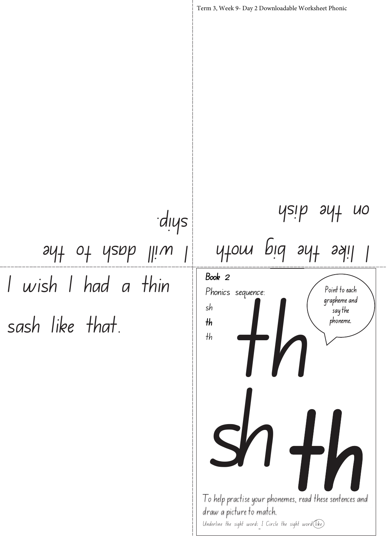

I o help practise your phonemes, read these sentences and draw a picture to match. Underline the sight word: I Circle the sight word  $\widehat{$ like)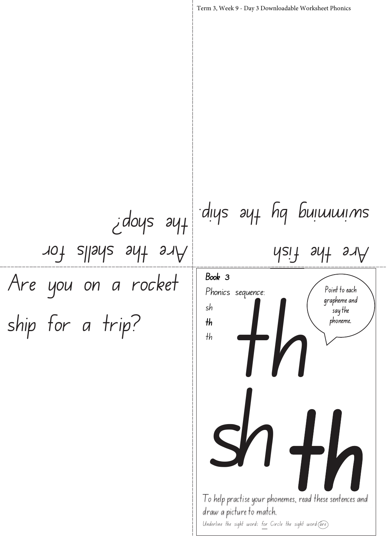Are you on a rocket ship for a trip? Are the shells for  $idoys<sub>g</sub>$ 

## diys ayt hg buimmins